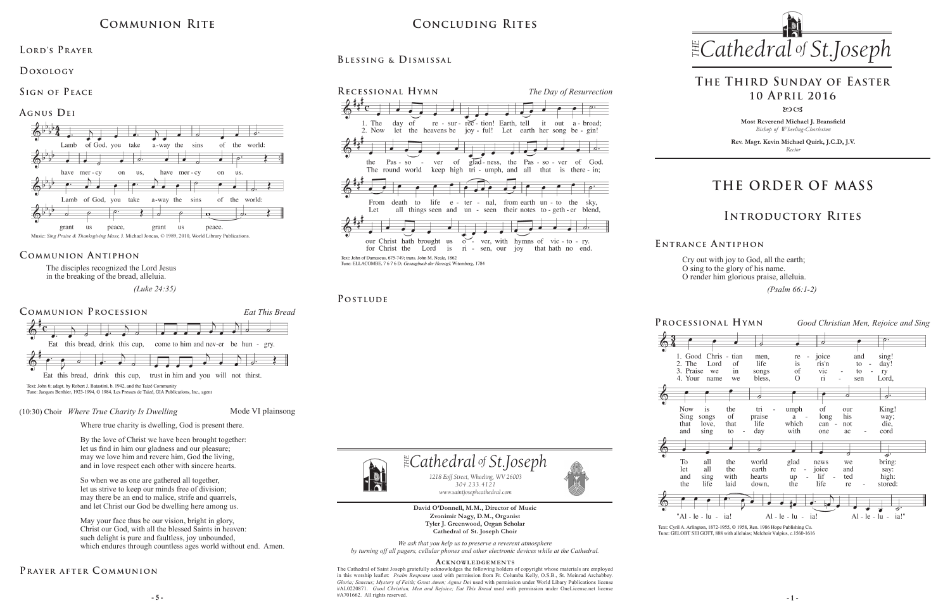**Most Reverend Michael J. Bransfield** *Bishop of Wheeling-Charleston*

**Rev. Msgr. Kevin Michael Quirk, J.C.D, J.V.** *Rector*



Cry out with joy to God, all the earth; O sing to the glory of his name. O render him glorious praise, alleluia.

 *(Psalm 66:1-2)* 

Text: Cyril A. Arlington, 1872-1955, © 1958, Ren. 1986 Hope Publishing Co. Tune: GELOBT SEI GOTT, 888 with alleluias; Melchoir Vulpius, c.1560-1616

*We ask that you help us to preserve a reverent atmosphere by turning off all pagers, cellular phones and other electronic devices while at the Cathedral.*

#### **Acknowledgement s**

**- 5 - - 1 -** The Cathedral of Saint Joseph gratefully acknowledges the following holders of copyright whose materials are employed in this worship leaflet: *Psalm Response* used with permission from Fr. Columba Kelly, O.S.B., St. Meinrad Archabbey. *Gloria; Sanctus; Mystery of Faith; Great Amen; Agnus Dei* used with permission under World Libary Publications license #AL0220871. *Good Christian, Men and Rejoice; Eat This Bread* used with permission under OneLicense.net license #A701662. All rights reserved.

 $\mathbb{E}$ Cathedral of St.Joseph *1218 Eoff Street, Wheeling, WV 26003 304.233.4121 304.233.4121 www.saintjosephcathedral.com*

**David O'Donnell, M.M., Director of Music Zvonimir Nagy, D.M., Organist Tyler J. Greenwood, Organ Scholar Cathedral of St. Joseph Choir** *www.saintjosephcathedral.com*

The disciples recognized the Lord Jesus in the breaking of the bread, alleluia.

 *(Luke 24:35)*

(10:30) Choir *Where True Charity Is Dwelling* Mode VI plainsong

Where true charity is dwelling, God is present there.

By the love of Christ we have been brought together: let us find in him our gladness and our pleasure; may we love him and revere him, God the living, and in love respect each other with sincere hearts.

So when we as one are gathered all together, let us strive to keep our minds free of division; may there be an end to malice, strife and quarrels, and let Christ our God be dwelling here among us.

May your face thus be our vision, bright in glory, Christ our God, with all the blessed Saints in heaven: such delight is pure and faultless, joy unbounded, which endures through countless ages world without end. Amen.

# **THE ORDER OF MASS**





**E ntrance A ntiphon**

# **Introductory Rites**

# **The Third Sunday of Easter 10 April 2016**

 $80C<sub>3</sub>$ 

# **Communion Rite**



#### **Agnus Dei**

#### **Communion Antiphon**

## **Prayer after C ommunion**

# **Concluding Rites**

**Blessing & Dismissal**



#### POSTLUDE



Tune: Jacques Berthier, 1923-1994, © 1984, Les Presses de Taizé, GIA Publications, Inc., agent

**Lord's Prayer**

**Doxology** 

**Sign of Peace**